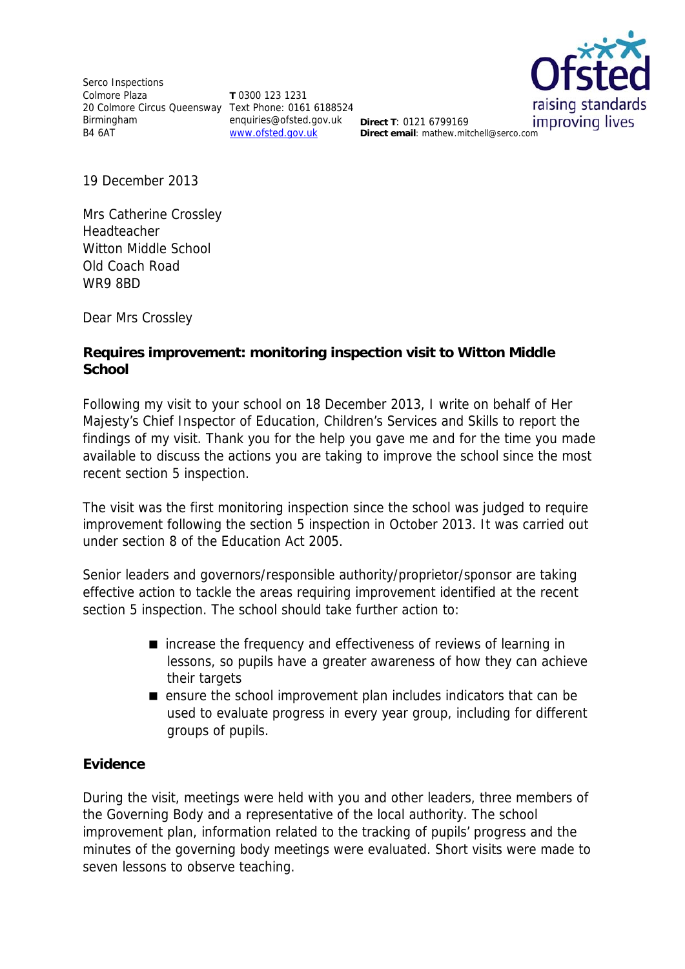Serco Inspections Colmore Plaza 20 Colmore Circus Queensway Text Phone: 0161 6188524 Birmingham B4 6AT

**T** 0300 123 1231 enquiries@ofsted.gov.uk **Direct T**: 0121 6799169 www.ofsted.gov.uk



**Direct T: 0121 6799169** improving lives

19 December 2013

Mrs Catherine Crossley **Headteacher** Witton Middle School Old Coach Road WR9 8BD

Dear Mrs Crossley

### **Requires improvement: monitoring inspection visit to Witton Middle School**

Following my visit to your school on 18 December 2013, I write on behalf of Her Majesty's Chief Inspector of Education, Children's Services and Skills to report the findings of my visit. Thank you for the help you gave me and for the time you made available to discuss the actions you are taking to improve the school since the most recent section 5 inspection.

The visit was the first monitoring inspection since the school was judged to require improvement following the section 5 inspection in October 2013. It was carried out under section 8 of the Education Act 2005.

Senior leaders and governors/responsible authority/proprietor/sponsor are taking effective action to tackle the areas requiring improvement identified at the recent section 5 inspection. The school should take further action to:

- increase the frequency and effectiveness of reviews of learning in lessons, so pupils have a greater awareness of how they can achieve their targets
- ensure the school improvement plan includes indicators that can be used to evaluate progress in every year group, including for different groups of pupils.

## **Evidence**

During the visit, meetings were held with you and other leaders, three members of the Governing Body and a representative of the local authority. The school improvement plan, information related to the tracking of pupils' progress and the minutes of the governing body meetings were evaluated. Short visits were made to seven lessons to observe teaching.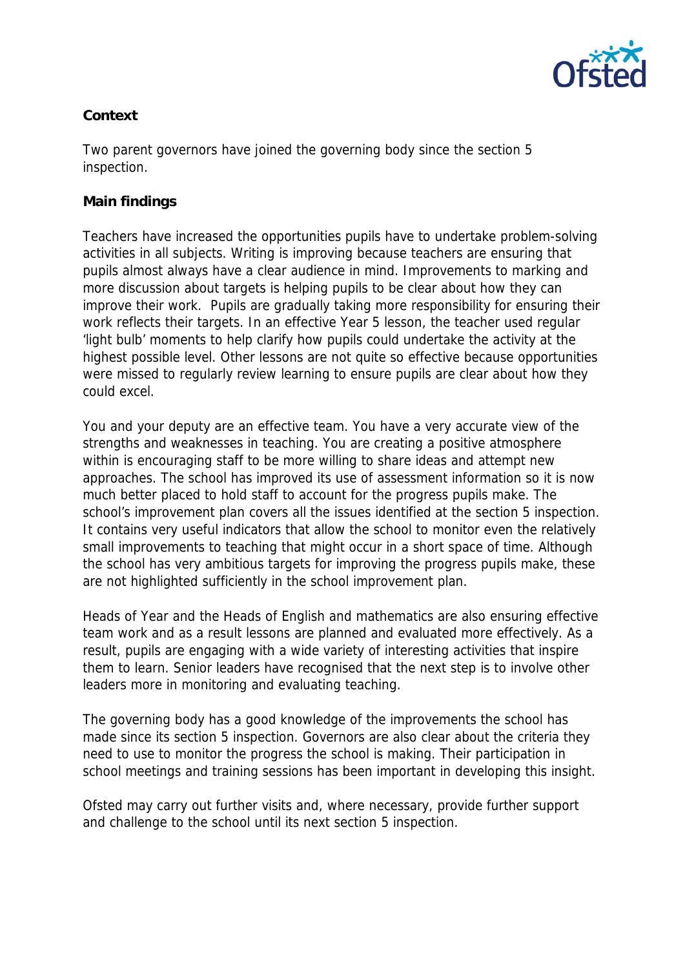

# **Context**

Two parent governors have joined the governing body since the section 5 inspection.

### **Main findings**

Teachers have increased the opportunities pupils have to undertake problem-solving activities in all subjects. Writing is improving because teachers are ensuring that pupils almost always have a clear audience in mind. Improvements to marking and more discussion about targets is helping pupils to be clear about how they can improve their work. Pupils are gradually taking more responsibility for ensuring their work reflects their targets. In an effective Year 5 lesson, the teacher used regular 'light bulb' moments to help clarify how pupils could undertake the activity at the highest possible level. Other lessons are not quite so effective because opportunities were missed to regularly review learning to ensure pupils are clear about how they could excel.

You and your deputy are an effective team. You have a very accurate view of the strengths and weaknesses in teaching. You are creating a positive atmosphere within is encouraging staff to be more willing to share ideas and attempt new approaches. The school has improved its use of assessment information so it is now much better placed to hold staff to account for the progress pupils make. The school's improvement plan covers all the issues identified at the section 5 inspection. It contains very useful indicators that allow the school to monitor even the relatively small improvements to teaching that might occur in a short space of time. Although the school has very ambitious targets for improving the progress pupils make, these are not highlighted sufficiently in the school improvement plan.

Heads of Year and the Heads of English and mathematics are also ensuring effective team work and as a result lessons are planned and evaluated more effectively. As a result, pupils are engaging with a wide variety of interesting activities that inspire them to learn. Senior leaders have recognised that the next step is to involve other leaders more in monitoring and evaluating teaching.

The governing body has a good knowledge of the improvements the school has made since its section 5 inspection. Governors are also clear about the criteria they need to use to monitor the progress the school is making. Their participation in school meetings and training sessions has been important in developing this insight.

Ofsted may carry out further visits and, where necessary, provide further support and challenge to the school until its next section 5 inspection.